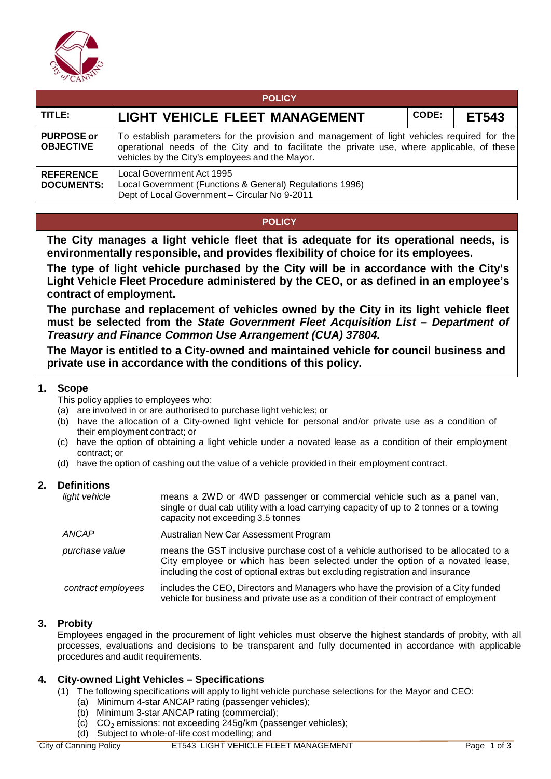

| <b>POLICY</b>                         |                                                                                                                                                                                                                                               |       |              |  |  |  |  |
|---------------------------------------|-----------------------------------------------------------------------------------------------------------------------------------------------------------------------------------------------------------------------------------------------|-------|--------------|--|--|--|--|
| TITLE:                                | LIGHT VEHICLE FLEET MANAGEMENT                                                                                                                                                                                                                | CODE: | <b>ET543</b> |  |  |  |  |
| <b>PURPOSE or</b><br><b>OBJECTIVE</b> | To establish parameters for the provision and management of light vehicles required for the<br>operational needs of the City and to facilitate the private use, where applicable, of these<br>vehicles by the City's employees and the Mayor. |       |              |  |  |  |  |
| <b>REFERENCE</b><br><b>DOCUMENTS:</b> | Local Government Act 1995<br>Local Government (Functions & General) Regulations 1996)<br>Dept of Local Government - Circular No 9-2011                                                                                                        |       |              |  |  |  |  |

# **POLICY**

**The City manages a light vehicle fleet that is adequate for its operational needs, is environmentally responsible, and provides flexibility of choice for its employees.**

**The type of light vehicle purchased by the City will be in accordance with the City's Light Vehicle Fleet Procedure administered by the CEO, or as defined in an employee's contract of employment.**

**The purchase and replacement of vehicles owned by the City in its light vehicle fleet must be selected from the** *State Government Fleet Acquisition List – Department of Treasury and Finance Common Use Arrangement (CUA) 37804.*

**The Mayor is entitled to a City-owned and maintained vehicle for council business and private use in accordance with the conditions of this policy.**

### **1. Scope**

This policy applies to employees who:

- (a) are involved in or are authorised to purchase light vehicles; or
- (b) have the allocation of a City-owned light vehicle for personal and/or private use as a condition of their employment contract; or
- (c) have the option of obtaining a light vehicle under a novated lease as a condition of their employment contract; or
- (d) have the option of cashing out the value of a vehicle provided in their employment contract.

# **2. Definitions**

| light vehicle      | means a 2WD or 4WD passenger or commercial vehicle such as a panel van,<br>single or dual cab utility with a load carrying capacity of up to 2 tonnes or a towing<br>capacity not exceeding 3.5 tonnes                                                |
|--------------------|-------------------------------------------------------------------------------------------------------------------------------------------------------------------------------------------------------------------------------------------------------|
| ANCAP              | Australian New Car Assessment Program                                                                                                                                                                                                                 |
| purchase value     | means the GST inclusive purchase cost of a vehicle authorised to be allocated to a<br>City employee or which has been selected under the option of a novated lease,<br>including the cost of optional extras but excluding registration and insurance |
| contract employees | includes the CEO, Directors and Managers who have the provision of a City funded<br>vehicle for business and private use as a condition of their contract of employment                                                                               |

# **3. Probity**

Employees engaged in the procurement of light vehicles must observe the highest standards of probity, with all processes, evaluations and decisions to be transparent and fully documented in accordance with applicable procedures and audit requirements.

# **4. City-owned Light Vehicles – Specifications**

- (1) The following specifications will apply to light vehicle purchase selections for the Mayor and CEO:
	- (a) Minimum 4-star ANCAP rating (passenger vehicles);
	- (b) Minimum 3-star ANCAP rating (commercial);
	- (c)  $CO<sub>2</sub>$  emissions: not exceeding 245g/km (passenger vehicles);
	- (d) Subject to whole-of-life cost modelling; and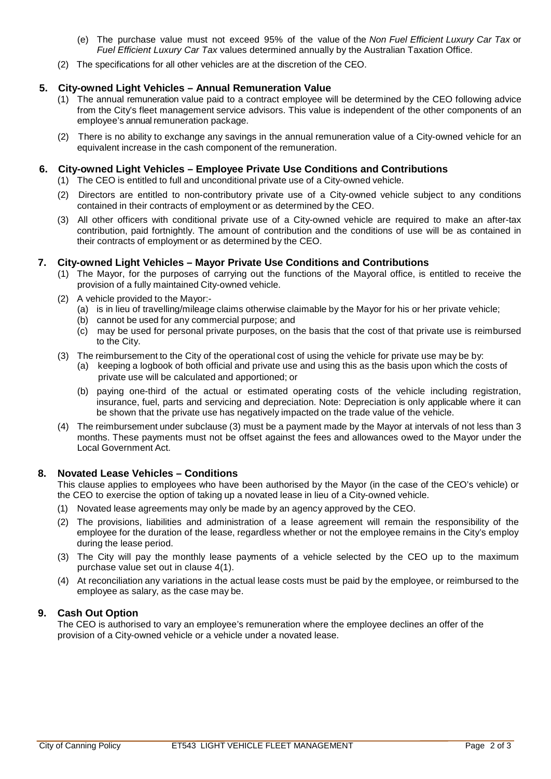- (e) The purchase value must not exceed 95% of the value of the *Non Fuel Efficient Luxury Car Tax* or *Fuel Efficient Luxury Car Tax* values determined annually by the Australian Taxation Office.
- (2) The specifications for all other vehicles are at the discretion of the CEO.

# **5. City-owned Light Vehicles – Annual Remuneration Value**

- (1) The annual remuneration value paid to a contract employee will be determined by the CEO following advice from the City's fleet management service advisors. This value is independent of the other components of an employee's annual remuneration package.
- (2) There is no ability to exchange any savings in the annual remuneration value of a City-owned vehicle for an equivalent increase in the cash component of the remuneration.

#### **6. City-owned Light Vehicles – Employee Private Use Conditions and Contributions**

- (1) The CEO is entitled to full and unconditional private use of a City-owned vehicle.
- (2) Directors are entitled to non-contributory private use of a City-owned vehicle subject to any conditions contained in their contracts of employment or as determined by the CEO.
- (3) All other officers with conditional private use of a City-owned vehicle are required to make an after-tax contribution, paid fortnightly. The amount of contribution and the conditions of use will be as contained in their contracts of employment or as determined by the CEO.

# **7. City-owned Light Vehicles – Mayor Private Use Conditions and Contributions**

- (1) The Mayor, for the purposes of carrying out the functions of the Mayoral office, is entitled to receive the provision of a fully maintained City-owned vehicle.
- (2) A vehicle provided to the Mayor:-
	- (a) is in lieu of travelling/mileage claims otherwise claimable by the Mayor for his or her private vehicle;
	- (b) cannot be used for any commercial purpose; and
	- (c) may be used for personal private purposes, on the basis that the cost of that private use is reimbursed to the City.
- (3) The reimbursement to the City of the operational cost of using the vehicle for private use may be by:
	- (a) keeping a logbook of both official and private use and using this as the basis upon which the costs of private use will be calculated and apportioned; or
	- (b) paying one-third of the actual or estimated operating costs of the vehicle including registration, insurance, fuel, parts and servicing and depreciation. Note: Depreciation is only applicable where it can be shown that the private use has negatively impacted on the trade value of the vehicle.
- (4) The reimbursement under subclause (3) must be a payment made by the Mayor at intervals of not less than 3 months. These payments must not be offset against the fees and allowances owed to the Mayor under the Local Government Act.

# **8. Novated Lease Vehicles – Conditions**

This clause applies to employees who have been authorised by the Mayor (in the case of the CEO's vehicle) or the CEO to exercise the option of taking up a novated lease in lieu of a City-owned vehicle.

- (1) Novated lease agreements may only be made by an agency approved by the CEO.
- (2) The provisions, liabilities and administration of a lease agreement will remain the responsibility of the employee for the duration of the lease, regardless whether or not the employee remains in the City's employ during the lease period.
- (3) The City will pay the monthly lease payments of a vehicle selected by the CEO up to the maximum purchase value set out in clause 4(1).
- (4) At reconciliation any variations in the actual lease costs must be paid by the employee, or reimbursed to the employee as salary, as the case may be.

# **9. Cash Out Option**

The CEO is authorised to vary an employee's remuneration where the employee declines an offer of the provision of a City-owned vehicle or a vehicle under a novated lease.